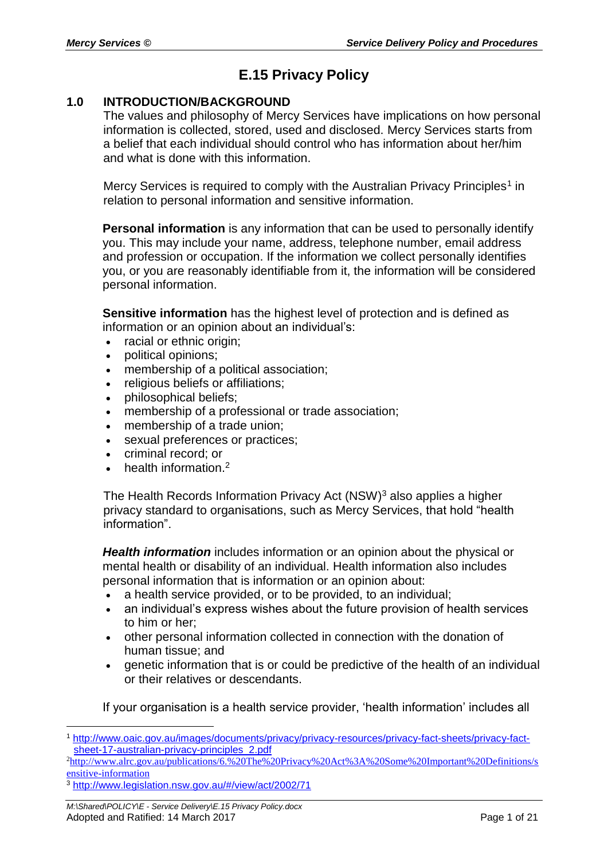# **E.15 Privacy Policy**

#### **1.0 INTRODUCTION/BACKGROUND**

The values and philosophy of Mercy Services have implications on how personal information is collected, stored, used and disclosed. Mercy Services starts from a belief that each individual should control who has information about her/him and what is done with this information.

Mercy Services is required to comply with the Australian Privacy Principles<sup>1</sup> in relation to personal information and sensitive information.

**Personal information** is any information that can be used to personally identify you. This may include your name, address, telephone number, email address and profession or occupation. If the information we collect personally identifies you, or you are reasonably identifiable from it, the information will be considered personal information.

**Sensitive information** has the highest level of protection and is defined as information or an opinion about an individual's:

- racial or ethnic origin;
- political opinions;
- membership of a political association;
- religious beliefs or affiliations;
- philosophical beliefs;
- membership of a professional or trade association;
- membership of a trade union;
- sexual preferences or practices;
- criminal record; or
- health information.<sup>2</sup>

The Health Records Information Privacy Act (NSW)<sup>3</sup> also applies a higher privacy standard to organisations, such as Mercy Services, that hold "health information".

*Health information* includes information or an opinion about the physical or mental health or disability of an individual. Health information also includes personal information that is information or an opinion about:

- a health service provided, or to be provided, to an individual;
- an individual's express wishes about the future provision of health services to him or her;
- other personal information collected in connection with the donation of human tissue; and
- genetic information that is or could be predictive of the health of an individual or their relatives or descendants.

If your organisation is a health service provider, 'health information' includes all

 $\overline{a}$ 

<sup>1</sup> [http://www.oaic.gov.au/images/documents/privacy/privacy-resources/privacy-fact-sheets/privacy-fact](http://www.oaic.gov.au/images/documents/privacy/privacy-resources/privacy-fact-sheets/privacy-fact-sheet-17-australian-privacy-principles_2.pdf)[sheet-17-australian-privacy-principles\\_2.pdf](http://www.oaic.gov.au/images/documents/privacy/privacy-resources/privacy-fact-sheets/privacy-fact-sheet-17-australian-privacy-principles_2.pdf)

<sup>2</sup>[http://www.alrc.gov.au/publications/6.%20The%20Privacy%20Act%3A%20Some%20Important%20Definitions/s](http://www.alrc.gov.au/publications/6.%20The%20Privacy%20Act%3A%20Some%20Important%20Definitions/sensitive-information) [ensitive-information](http://www.alrc.gov.au/publications/6.%20The%20Privacy%20Act%3A%20Some%20Important%20Definitions/sensitive-information)

<sup>3</sup> <http://www.legislation.nsw.gov.au/#/view/act/2002/71>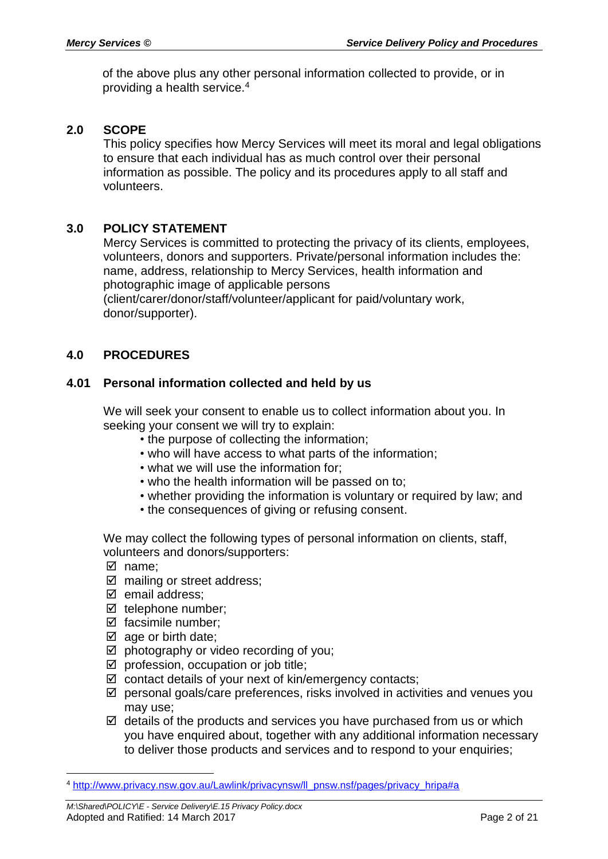of the above plus any other personal information collected to provide, or in providing a health service.<sup>4</sup>

#### **2.0 SCOPE**

This policy specifies how Mercy Services will meet its moral and legal obligations to ensure that each individual has as much control over their personal information as possible. The policy and its procedures apply to all staff and volunteers.

#### **3.0 POLICY STATEMENT**

Mercy Services is committed to protecting the privacy of its clients, employees, volunteers, donors and supporters. Private/personal information includes the: name, address, relationship to Mercy Services, health information and photographic image of applicable persons

(client/carer/donor/staff/volunteer/applicant for paid/voluntary work, donor/supporter).

#### **4.0 PROCEDURES**

#### **4.01 Personal information collected and held by us**

We will seek your consent to enable us to collect information about you. In seeking your consent we will try to explain:

- the purpose of collecting the information;
- who will have access to what parts of the information;
- what we will use the information for;
- who the health information will be passed on to;
- whether providing the information is voluntary or required by law; and
- the consequences of giving or refusing consent.

We may collect the following types of personal information on clients, staff, volunteers and donors/supporters:

name;

 $\overline{a}$ 

- $\boxtimes$  mailing or street address:
- $\boxtimes$  email address;
- $\boxtimes$  telephone number;
- $\boxtimes$  facsimile number:
- $\boxtimes$  age or birth date;
- $\boxtimes$  photography or video recording of you;
- $\boxtimes$  profession, occupation or job title;
- $\boxtimes$  contact details of your next of kin/emergency contacts;
- $\boxtimes$  personal goals/care preferences, risks involved in activities and venues you may use;
- $\boxtimes$  details of the products and services you have purchased from us or which you have enquired about, together with any additional information necessary to deliver those products and services and to respond to your enquiries;

<sup>4</sup> [http://www.privacy.nsw.gov.au/Lawlink/privacynsw/ll\\_pnsw.nsf/pages/privacy\\_hripa#a](http://www.privacy.nsw.gov.au/Lawlink/privacynsw/ll_pnsw.nsf/pages/privacy_hripa#a)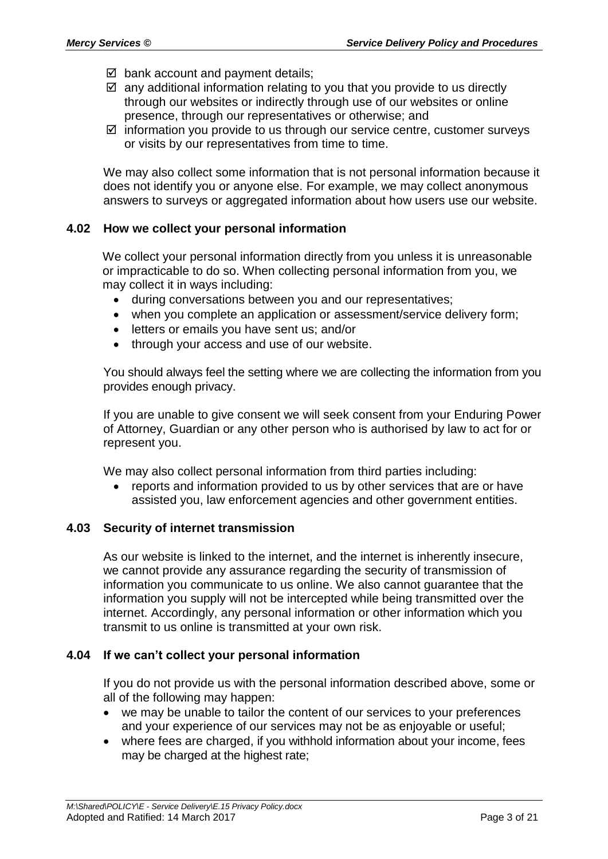- $\boxtimes$  bank account and payment details;
- $\boxtimes$  any additional information relating to you that you provide to us directly through our websites or indirectly through use of our websites or online presence, through our representatives or otherwise; and
- $\boxtimes$  information you provide to us through our service centre, customer surveys or visits by our representatives from time to time.

We may also collect some information that is not personal information because it does not identify you or anyone else. For example, we may collect anonymous answers to surveys or aggregated information about how users use our website.

#### **4.02 How we collect your personal information**

We collect your personal information directly from you unless it is unreasonable or impracticable to do so. When collecting personal information from you, we may collect it in ways including:

- during conversations between you and our representatives;
- when you complete an application or assessment/service delivery form;
- letters or emails you have sent us; and/or
- through your access and use of our website.

You should always feel the setting where we are collecting the information from you provides enough privacy.

If you are unable to give consent we will seek consent from your Enduring Power of Attorney, Guardian or any other person who is authorised by law to act for or represent you.

We may also collect personal information from third parties including:

• reports and information provided to us by other services that are or have assisted you, law enforcement agencies and other government entities.

#### **4.03 Security of internet transmission**

As our website is linked to the internet, and the internet is inherently insecure, we cannot provide any assurance regarding the security of transmission of information you communicate to us online. We also cannot guarantee that the information you supply will not be intercepted while being transmitted over the internet. Accordingly, any personal information or other information which you transmit to us online is transmitted at your own risk.

#### **4.04 If we can't collect your personal information**

If you do not provide us with the personal information described above, some or all of the following may happen:

- we may be unable to tailor the content of our services to your preferences and your experience of our services may not be as enjoyable or useful;
- where fees are charged, if you withhold information about your income, fees may be charged at the highest rate;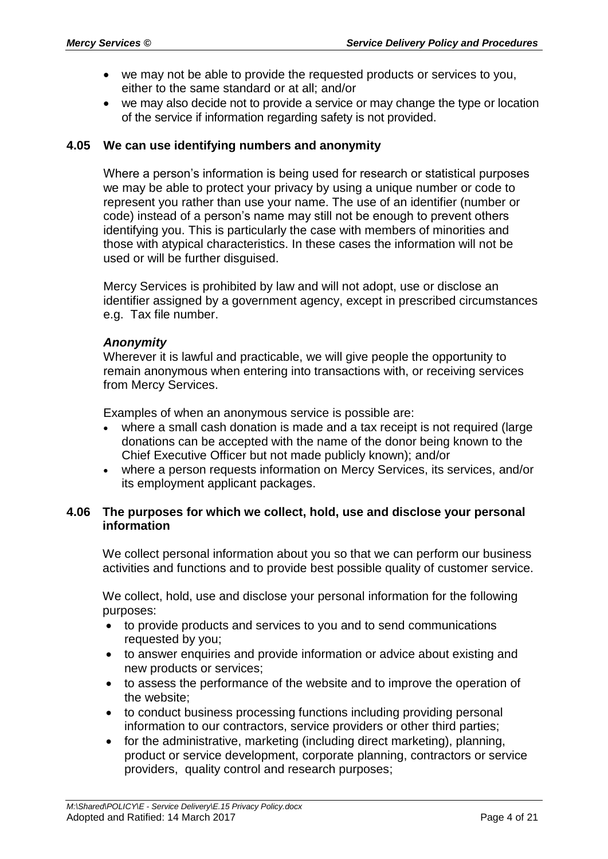- we may not be able to provide the requested products or services to you, either to the same standard or at all; and/or
- we may also decide not to provide a service or may change the type or location of the service if information regarding safety is not provided.

#### **4.05 We can use identifying numbers and anonymity**

Where a person's information is being used for research or statistical purposes we may be able to protect your privacy by using a unique number or code to represent you rather than use your name. The use of an identifier (number or code) instead of a person's name may still not be enough to prevent others identifying you. This is particularly the case with members of minorities and those with atypical characteristics. In these cases the information will not be used or will be further disguised.

Mercy Services is prohibited by law and will not adopt, use or disclose an identifier assigned by a government agency, except in prescribed circumstances e.g. Tax file number.

#### *Anonymity*

Wherever it is lawful and practicable, we will give people the opportunity to remain anonymous when entering into transactions with, or receiving services from Mercy Services.

Examples of when an anonymous service is possible are:

- where a small cash donation is made and a tax receipt is not required (large donations can be accepted with the name of the donor being known to the Chief Executive Officer but not made publicly known); and/or
- where a person requests information on Mercy Services, its services, and/or its employment applicant packages.

#### **4.06 The purposes for which we collect, hold, use and disclose your personal information**

We collect personal information about you so that we can perform our business activities and functions and to provide best possible quality of customer service.

We collect, hold, use and disclose your personal information for the following purposes:

- to provide products and services to you and to send communications requested by you;
- to answer enquiries and provide information or advice about existing and new products or services;
- to assess the performance of the website and to improve the operation of the website;
- to conduct business processing functions including providing personal information to our contractors, service providers or other third parties;
- for the administrative, marketing (including direct marketing), planning, product or service development, corporate planning, contractors or service providers, quality control and research purposes;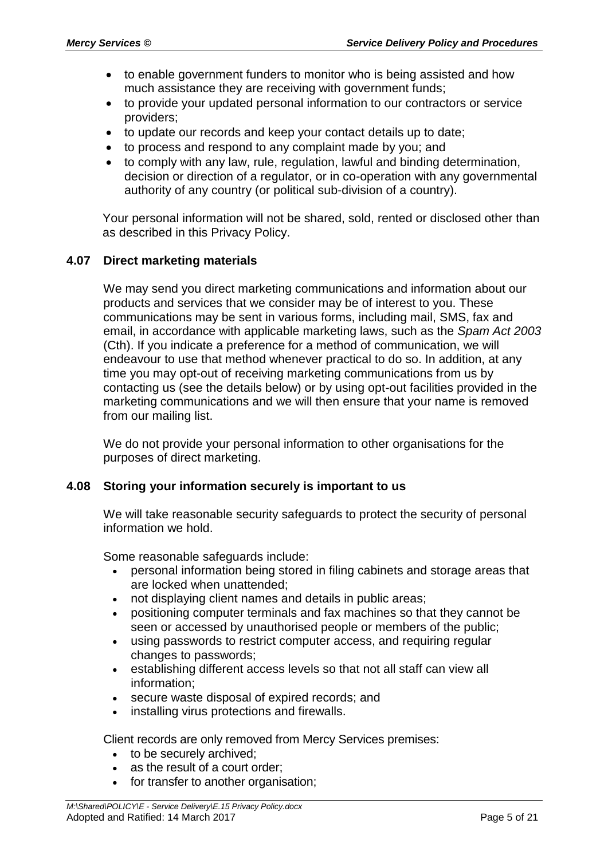- to enable government funders to monitor who is being assisted and how much assistance they are receiving with government funds;
- to provide your updated personal information to our contractors or service providers;
- to update our records and keep your contact details up to date;
- to process and respond to any complaint made by you; and
- to comply with any law, rule, regulation, lawful and binding determination, decision or direction of a regulator, or in co-operation with any governmental authority of any country (or political sub-division of a country).

Your personal information will not be shared, sold, rented or disclosed other than as described in this Privacy Policy.

#### **4.07 Direct marketing materials**

We may send you direct marketing communications and information about our products and services that we consider may be of interest to you. These communications may be sent in various forms, including mail, SMS, fax and email, in accordance with applicable marketing laws, such as the *Spam Act 2003*  (Cth). If you indicate a preference for a method of communication, we will endeavour to use that method whenever practical to do so. In addition, at any time you may opt-out of receiving marketing communications from us by contacting us (see the details below) or by using opt-out facilities provided in the marketing communications and we will then ensure that your name is removed from our mailing list.

We do not provide your personal information to other organisations for the purposes of direct marketing.

#### **4.08 Storing your information securely is important to us**

We will take reasonable security safeguards to protect the security of personal information we hold.

Some reasonable safeguards include:

- personal information being stored in filing cabinets and storage areas that are locked when unattended;
- not displaying client names and details in public areas;
- positioning computer terminals and fax machines so that they cannot be seen or accessed by unauthorised people or members of the public;
- using passwords to restrict computer access, and requiring regular changes to passwords;
- establishing different access levels so that not all staff can view all information;
- secure waste disposal of expired records; and
- installing virus protections and firewalls.

Client records are only removed from Mercy Services premises:

- to be securely archived;
- as the result of a court order;
- for transfer to another organisation;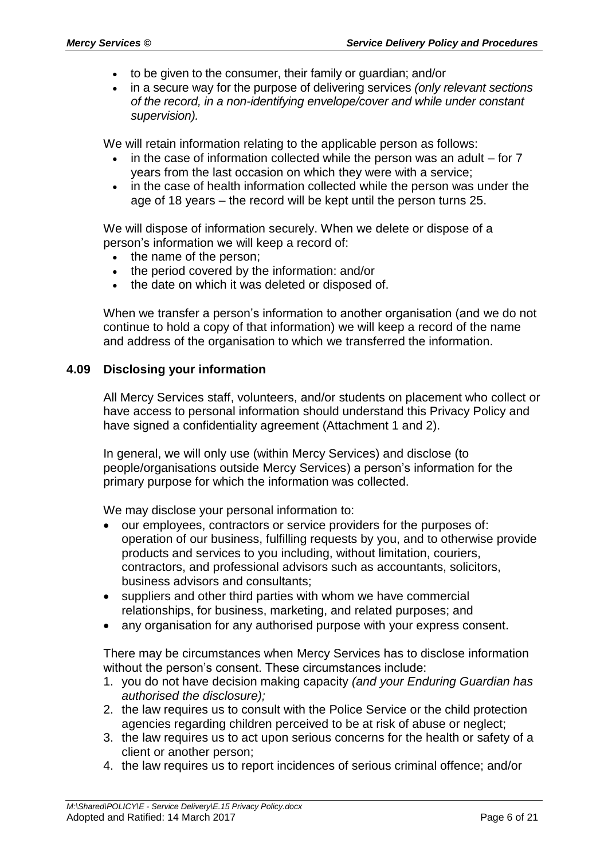- to be given to the consumer, their family or guardian; and/or
- in a secure way for the purpose of delivering services *(only relevant sections of the record, in a non-identifying envelope/cover and while under constant supervision).*

We will retain information relating to the applicable person as follows:

- in the case of information collected while the person was an adult for 7 years from the last occasion on which they were with a service;
- in the case of health information collected while the person was under the age of 18 years – the record will be kept until the person turns 25.

We will dispose of information securely. When we delete or dispose of a person's information we will keep a record of:

- the name of the person;
- the period covered by the information: and/or
- the date on which it was deleted or disposed of.

When we transfer a person's information to another organisation (and we do not continue to hold a copy of that information) we will keep a record of the name and address of the organisation to which we transferred the information.

#### **4.09 Disclosing your information**

All Mercy Services staff, volunteers, and/or students on placement who collect or have access to personal information should understand this Privacy Policy and have signed a confidentiality agreement (Attachment 1 and 2).

In general, we will only use (within Mercy Services) and disclose (to people/organisations outside Mercy Services) a person's information for the primary purpose for which the information was collected.

We may disclose your personal information to:

- our employees, contractors or service providers for the purposes of: operation of our business, fulfilling requests by you, and to otherwise provide products and services to you including, without limitation, couriers, contractors, and professional advisors such as accountants, solicitors, business advisors and consultants;
- suppliers and other third parties with whom we have commercial relationships, for business, marketing, and related purposes; and
- any organisation for any authorised purpose with your express consent.

There may be circumstances when Mercy Services has to disclose information without the person's consent. These circumstances include:

- 1. you do not have decision making capacity *(and your Enduring Guardian has authorised the disclosure);*
- 2. the law requires us to consult with the Police Service or the child protection agencies regarding children perceived to be at risk of abuse or neglect;
- 3. the law requires us to act upon serious concerns for the health or safety of a client or another person;
- 4. the law requires us to report incidences of serious criminal offence; and/or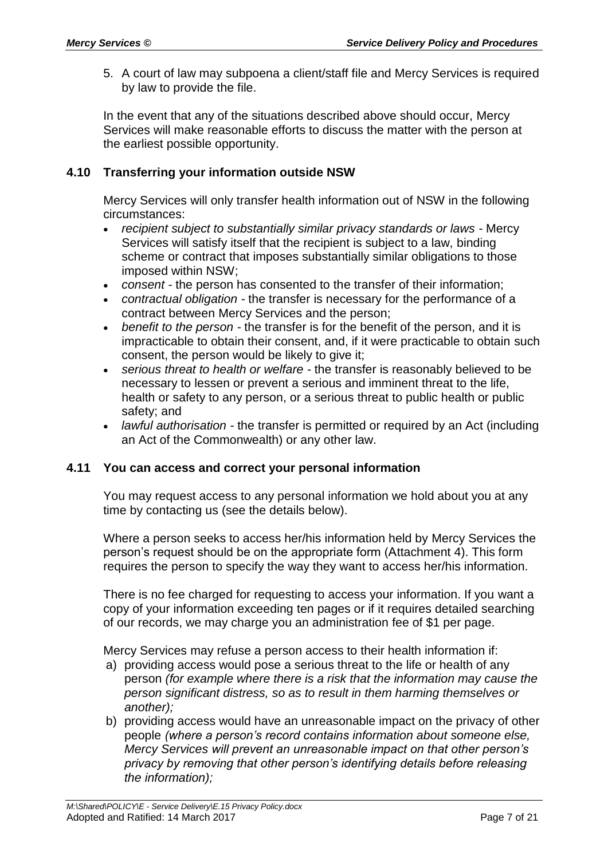5. A court of law may subpoena a client/staff file and Mercy Services is required by law to provide the file.

In the event that any of the situations described above should occur, Mercy Services will make reasonable efforts to discuss the matter with the person at the earliest possible opportunity.

#### **4.10 Transferring your information outside NSW**

Mercy Services will only transfer health information out of NSW in the following circumstances:

- *recipient subject to substantially similar privacy standards or laws -* Mercy Services will satisfy itself that the recipient is subject to a law, binding scheme or contract that imposes substantially similar obligations to those imposed within NSW;
- *consent -* the person has consented to the transfer of their information;
- *contractual obligation -* the transfer is necessary for the performance of a contract between Mercy Services and the person;
- *benefit to the person -* the transfer is for the benefit of the person, and it is impracticable to obtain their consent, and, if it were practicable to obtain such consent, the person would be likely to give it;
- *serious threat to health or welfare -* the transfer is reasonably believed to be necessary to lessen or prevent a serious and imminent threat to the life, health or safety to any person, or a serious threat to public health or public safety; and
- *lawful authorisation -* the transfer is permitted or required by an Act (including an Act of the Commonwealth) or any other law.

#### **4.11 You can access and correct your personal information**

You may request access to any personal information we hold about you at any time by contacting us (see the details below).

Where a person seeks to access her/his information held by Mercy Services the person's request should be on the appropriate form (Attachment 4). This form requires the person to specify the way they want to access her/his information.

There is no fee charged for requesting to access your information. If you want a copy of your information exceeding ten pages or if it requires detailed searching of our records, we may charge you an administration fee of \$1 per page.

Mercy Services may refuse a person access to their health information if:

- a) providing access would pose a serious threat to the life or health of any person *(for example where there is a risk that the information may cause the person significant distress, so as to result in them harming themselves or another);*
- b) providing access would have an unreasonable impact on the privacy of other people *(where a person's record contains information about someone else, Mercy Services will prevent an unreasonable impact on that other person's privacy by removing that other person's identifying details before releasing the information);*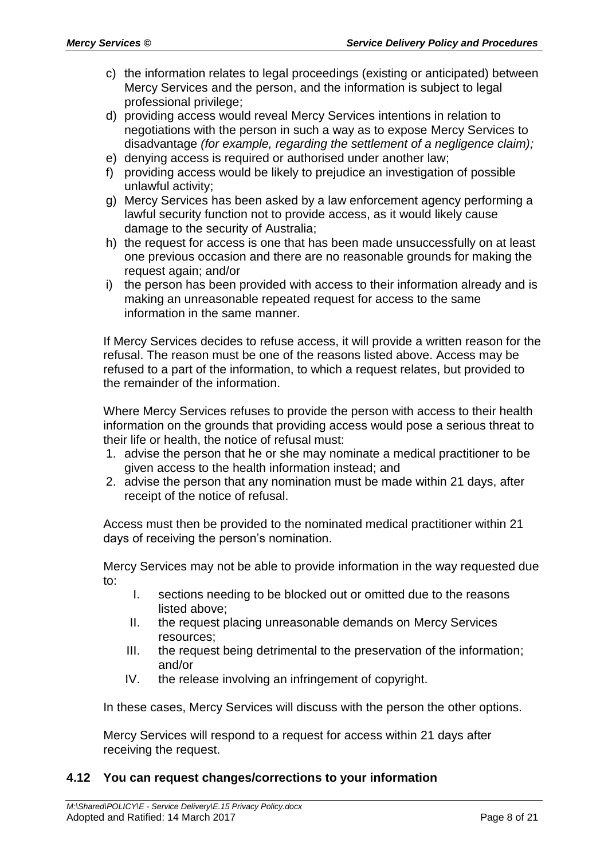- c) the information relates to legal proceedings (existing or anticipated) between Mercy Services and the person, and the information is subject to legal professional privilege;
- d) providing access would reveal Mercy Services intentions in relation to negotiations with the person in such a way as to expose Mercy Services to disadvantage *(for example, regarding the settlement of a negligence claim);*
- e) denying access is required or authorised under another law;
- f) providing access would be likely to prejudice an investigation of possible unlawful activity;
- g) Mercy Services has been asked by a law enforcement agency performing a lawful security function not to provide access, as it would likely cause damage to the security of Australia;
- h) the request for access is one that has been made unsuccessfully on at least one previous occasion and there are no reasonable grounds for making the request again; and/or
- i) the person has been provided with access to their information already and is making an unreasonable repeated request for access to the same information in the same manner.

If Mercy Services decides to refuse access, it will provide a written reason for the refusal. The reason must be one of the reasons listed above. Access may be refused to a part of the information, to which a request relates, but provided to the remainder of the information.

Where Mercy Services refuses to provide the person with access to their health information on the grounds that providing access would pose a serious threat to their life or health, the notice of refusal must:

- 1. advise the person that he or she may nominate a medical practitioner to be given access to the health information instead; and
- 2. advise the person that any nomination must be made within 21 days, after receipt of the notice of refusal.

Access must then be provided to the nominated medical practitioner within 21 days of receiving the person's nomination.

Mercy Services may not be able to provide information in the way requested due to:

- I. sections needing to be blocked out or omitted due to the reasons listed above;
- II. the request placing unreasonable demands on Mercy Services resources;
- III. the request being detrimental to the preservation of the information; and/or
- IV. the release involving an infringement of copyright.

In these cases, Mercy Services will discuss with the person the other options.

Mercy Services will respond to a request for access within 21 days after receiving the request.

#### **4.12 You can request changes/corrections to your information**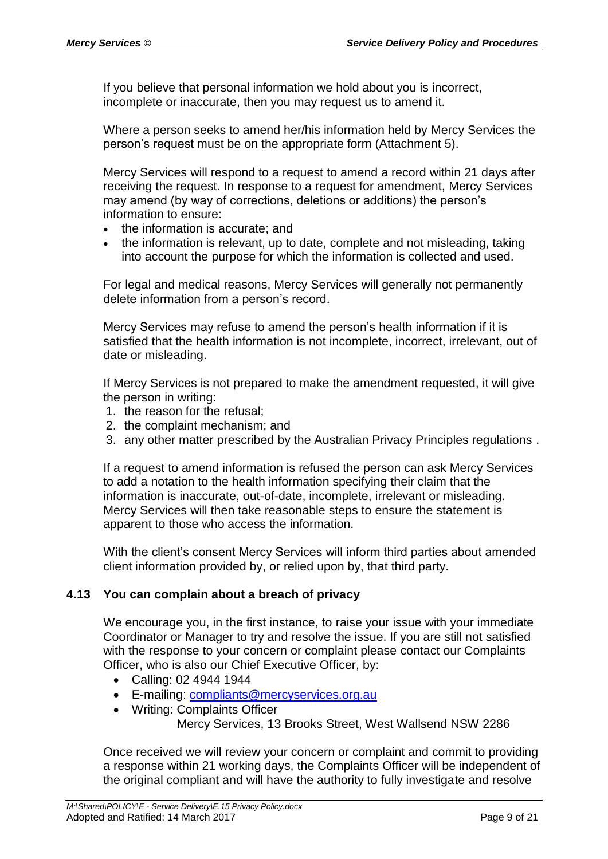If you believe that personal information we hold about you is incorrect, incomplete or inaccurate, then you may request us to amend it.

Where a person seeks to amend her/his information held by Mercy Services the person's request must be on the appropriate form (Attachment 5).

Mercy Services will respond to a request to amend a record within 21 days after receiving the request. In response to a request for amendment, Mercy Services may amend (by way of corrections, deletions or additions) the person's information to ensure:

- the information is accurate; and
- the information is relevant, up to date, complete and not misleading, taking into account the purpose for which the information is collected and used.

For legal and medical reasons, Mercy Services will generally not permanently delete information from a person's record.

Mercy Services may refuse to amend the person's health information if it is satisfied that the health information is not incomplete, incorrect, irrelevant, out of date or misleading.

If Mercy Services is not prepared to make the amendment requested, it will give the person in writing:

- 1. the reason for the refusal;
- 2. the complaint mechanism; and
- 3. any other matter prescribed by the Australian Privacy Principles regulations .

If a request to amend information is refused the person can ask Mercy Services to add a notation to the health information specifying their claim that the information is inaccurate, out-of-date, incomplete, irrelevant or misleading. Mercy Services will then take reasonable steps to ensure the statement is apparent to those who access the information.

With the client's consent Mercy Services will inform third parties about amended client information provided by, or relied upon by, that third party.

#### **4.13 You can complain about a breach of privacy**

We encourage you, in the first instance, to raise your issue with your immediate Coordinator or Manager to try and resolve the issue. If you are still not satisfied with the response to your concern or complaint please contact our Complaints Officer, who is also our Chief Executive Officer, by:

- Calling: 02 4944 1944
- E-mailing: [compliants@mercyservices.org.au](mailto:compliants@mercyservices.org.au)
- Writing: Complaints Officer

Mercy Services, 13 Brooks Street, West Wallsend NSW 2286

Once received we will review your concern or complaint and commit to providing a response within 21 working days, the Complaints Officer will be independent of the original compliant and will have the authority to fully investigate and resolve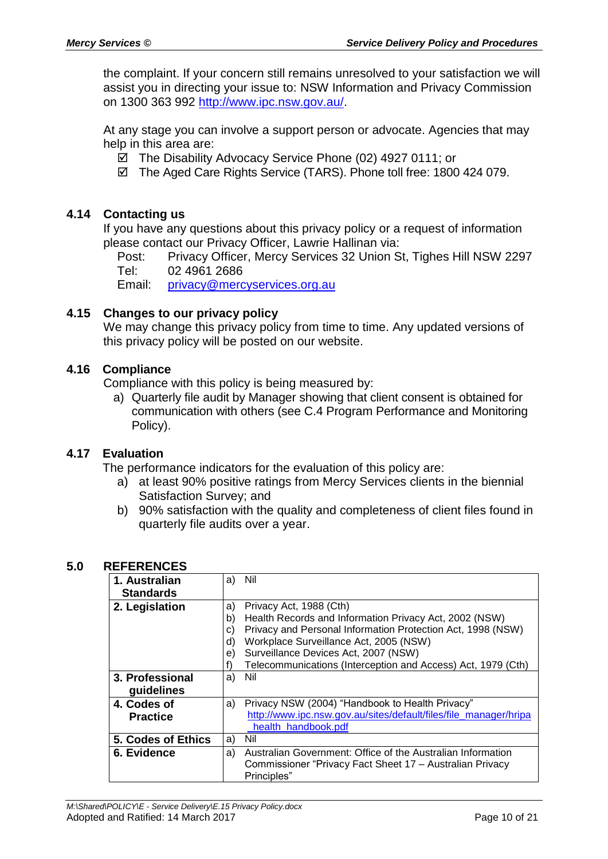the complaint. If your concern still remains unresolved to your satisfaction we will assist you in directing your issue to: NSW Information and Privacy Commission on 1300 363 992 [http://www.ipc.nsw.gov.au/.](http://www.ipc.nsw.gov.au/)

At any stage you can involve a support person or advocate. Agencies that may help in this area are:

- The Disability Advocacy Service Phone (02) 4927 0111; or
- The Aged Care Rights Service (TARS). Phone toll free: 1800 424 079.

#### **4.14 Contacting us**

If you have any questions about this privacy policy or a request of information please contact our Privacy Officer, Lawrie Hallinan via:

Post: Privacy Officer, Mercy Services 32 Union St, Tighes Hill NSW 2297 Tel: 02 4961 2686

Email: [privacy@mercyservices.org.au](mailto:privacy@mercyservices.org.au)

#### **4.15 Changes to our privacy policy**

We may change this privacy policy from time to time. Any updated versions of this privacy policy will be posted on our website.

#### **4.16 Compliance**

Compliance with this policy is being measured by:

a) Quarterly file audit by Manager showing that client consent is obtained for communication with others (see C.4 Program Performance and Monitoring Policy).

#### **4.17 Evaluation**

The performance indicators for the evaluation of this policy are:

- a) at least 90% positive ratings from Mercy Services clients in the biennial Satisfaction Survey; and
- b) 90% satisfaction with the quality and completeness of client files found in quarterly file audits over a year.

| 1. Australian      | a) | Nil                                                              |
|--------------------|----|------------------------------------------------------------------|
| <b>Standards</b>   |    |                                                                  |
| 2. Legislation     | a) | Privacy Act, 1988 (Cth)                                          |
|                    | b) | Health Records and Information Privacy Act, 2002 (NSW)           |
|                    | C) | Privacy and Personal Information Protection Act, 1998 (NSW)      |
|                    | d) | Workplace Surveillance Act, 2005 (NSW)                           |
|                    | e) | Surveillance Devices Act, 2007 (NSW)                             |
|                    |    | Telecommunications (Interception and Access) Act, 1979 (Cth)     |
| 3. Professional    | a) | Nil                                                              |
| guidelines         |    |                                                                  |
| 4. Codes of        | a) | Privacy NSW (2004) "Handbook to Health Privacy"                  |
| <b>Practice</b>    |    | http://www.ipc.nsw.gov.au/sites/default/files/file_manager/hripa |
|                    |    | health handbook.pdf                                              |
| 5. Codes of Ethics | a) | Nil                                                              |
| 6. Evidence        | a) | Australian Government: Office of the Australian Information      |
|                    |    | Commissioner "Privacy Fact Sheet 17 – Australian Privacy         |
|                    |    | Principles"                                                      |

#### **5.0 REFERENCES**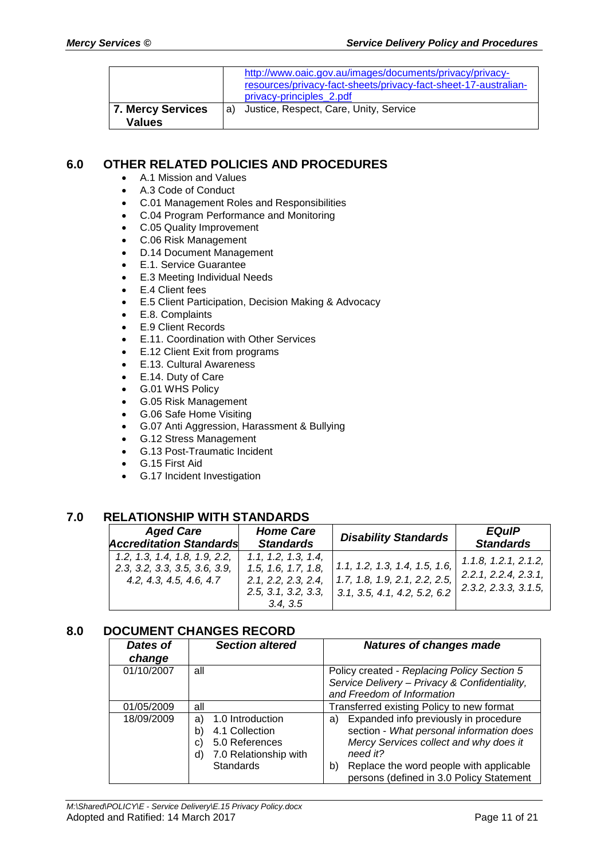|                          | http://www.oaic.gov.au/images/documents/privacy/privacy-<br>resources/privacy-fact-sheets/privacy-fact-sheet-17-australian-<br>privacy-principles 2.pdf |
|--------------------------|---------------------------------------------------------------------------------------------------------------------------------------------------------|
| <b>7. Mercy Services</b> | Justice, Respect, Care, Unity, Service                                                                                                                  |
| <b>Values</b>            | l a)                                                                                                                                                    |

#### **6.0 OTHER RELATED POLICIES AND PROCEDURES**

- A.1 Mission and Values
- A.3 Code of Conduct
- C.01 Management Roles and Responsibilities
- C.04 Program Performance and Monitoring
- C.05 Quality Improvement
- C.06 Risk Management
- D.14 Document Management
- E.1. Service Guarantee
- E.3 Meeting Individual Needs
- E.4 Client fees
- E.5 Client Participation, Decision Making & Advocacy
- E.8. Complaints
- E.9 Client Records
- E.11. Coordination with Other Services
- E.12 Client Exit from programs
- E.13. Cultural Awareness
- E.14. Duty of Care
- G.01 WHS Policy
- G.05 Risk Management
- G.06 Safe Home Visiting
- G.07 Anti Aggression, Harassment & Bullying
- G.12 Stress Management
- G.13 Post-Traumatic Incident
- G.15 First Aid
- G.17 Incident Investigation

## **7.0 RELATIONSHIP WITH STANDARDS**

| <b>Aged Care</b>                                                                          | <b>Home Care</b>                                                                                    | <b>Disability Standards</b>                                                                    | <b>EQuIP</b>                                                                 |
|-------------------------------------------------------------------------------------------|-----------------------------------------------------------------------------------------------------|------------------------------------------------------------------------------------------------|------------------------------------------------------------------------------|
| <b>Accreditation Standards</b>                                                            | <b>Standards</b>                                                                                    |                                                                                                | <b>Standards</b>                                                             |
| 1.2, 1.3, 1.4, 1.8, 1.9, 2.2,<br>2.3, 3.2, 3.3, 3.5, 3.6, 3.9,<br>4.2, 4.3, 4.5, 4.6, 4.7 | 1.1, 1.2, 1.3, 1.4,<br>1.5, 1.6, 1.7, 1.8,<br>2.1, 2.2, 2.3, 2.4,<br>2.5, 3.1, 3.2, 3.3,<br>3.4.3.5 | 1.1, 1.2, 1.3, 1.4, 1.5, 1.6,<br>1.7, 1.8, 1.9, 2.1, 2.2, 2.5,<br>3.1, 3.5, 4.1, 4.2, 5.2, 6.2 | 1.1.8, 1.2.1, 2.1.2,<br>2.2.1, 2.2.4, 2.3.1,<br>$\vert$ 2.3.2, 2.3.3, 3.1.5, |

#### **8.0 DOCUMENT CHANGES RECORD**

| Dates of<br>change | <b>Section altered</b>                                                                                                    | <b>Natures of changes made</b>                                                                                                                                                                                                             |  |
|--------------------|---------------------------------------------------------------------------------------------------------------------------|--------------------------------------------------------------------------------------------------------------------------------------------------------------------------------------------------------------------------------------------|--|
| 01/10/2007         | all                                                                                                                       | Policy created - Replacing Policy Section 5<br>Service Delivery - Privacy & Confidentiality,<br>and Freedom of Information                                                                                                                 |  |
| 01/05/2009         | all                                                                                                                       | Transferred existing Policy to new format                                                                                                                                                                                                  |  |
| 18/09/2009         | 1.0 Introduction<br>a)<br>4.1 Collection<br>b)<br>5.0 References<br>C)<br>7.0 Relationship with<br>d)<br><b>Standards</b> | Expanded info previously in procedure<br>a)<br>section - What personal information does<br>Mercy Services collect and why does it<br>need it?<br>Replace the word people with applicable<br>b)<br>persons (defined in 3.0 Policy Statement |  |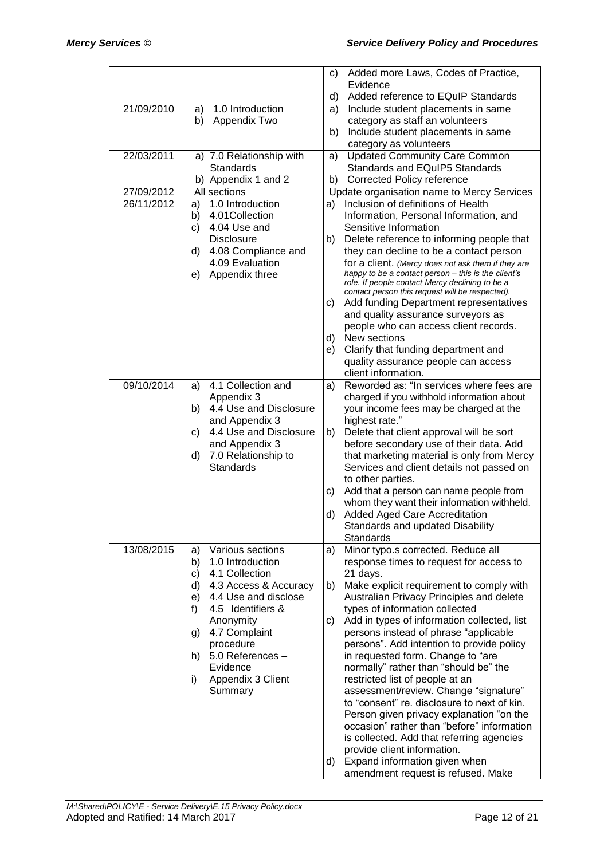|            |                                                | C) | Added more Laws, Codes of Practice,                                                  |
|------------|------------------------------------------------|----|--------------------------------------------------------------------------------------|
|            |                                                |    | Evidence                                                                             |
| 21/09/2010 | 1.0 Introduction                               | d) | Added reference to EQuIP Standards<br>Include student placements in same             |
|            | a)<br>Appendix Two<br>b)                       | a) | category as staff an volunteers                                                      |
|            |                                                | b) | Include student placements in same                                                   |
|            |                                                |    | category as volunteers                                                               |
| 22/03/2011 | a) 7.0 Relationship with                       | a) | <b>Updated Community Care Common</b>                                                 |
|            | Standards                                      |    | Standards and EQuIP5 Standards                                                       |
|            | b) Appendix 1 and 2                            |    | b) Corrected Policy reference                                                        |
| 27/09/2012 | All sections                                   |    | Update organisation name to Mercy Services                                           |
| 26/11/2012 | 1.0 Introduction<br>a)                         | a) | Inclusion of definitions of Health                                                   |
|            | 4.01 Collection<br>b)                          |    | Information, Personal Information, and                                               |
|            | 4.04 Use and<br>c)                             |    | Sensitive Information                                                                |
|            | <b>Disclosure</b><br>4.08 Compliance and<br>d) | b) | Delete reference to informing people that<br>they can decline to be a contact person |
|            | 4.09 Evaluation                                |    | for a client. (Mercy does not ask them if they are                                   |
|            | Appendix three<br>e)                           |    | happy to be a contact person - this is the client's                                  |
|            |                                                |    | role. If people contact Mercy declining to be a                                      |
|            |                                                |    | contact person this request will be respected).                                      |
|            |                                                | C) | Add funding Department representatives<br>and quality assurance surveyors as         |
|            |                                                |    | people who can access client records.                                                |
|            |                                                | d) | New sections                                                                         |
|            |                                                | e) | Clarify that funding department and                                                  |
|            |                                                |    | quality assurance people can access                                                  |
|            |                                                |    | client information.                                                                  |
| 09/10/2014 | 4.1 Collection and<br>a)                       | a) | Reworded as: "In services where fees are                                             |
|            | Appendix 3                                     |    | charged if you withhold information about                                            |
|            | 4.4 Use and Disclosure<br>b)                   |    | your income fees may be charged at the                                               |
|            | and Appendix 3<br>4.4 Use and Disclosure<br>C) | b) | highest rate."<br>Delete that client approval will be sort                           |
|            | and Appendix 3                                 |    | before secondary use of their data. Add                                              |
|            | 7.0 Relationship to<br>d)                      |    | that marketing material is only from Mercy                                           |
|            | <b>Standards</b>                               |    | Services and client details not passed on                                            |
|            |                                                |    | to other parties.                                                                    |
|            |                                                | C) | Add that a person can name people from                                               |
|            |                                                |    | whom they want their information withheld.                                           |
|            |                                                | d) | Added Aged Care Accreditation                                                        |
|            |                                                |    | Standards and updated Disability                                                     |
| 13/08/2015 | Various sections<br>a)                         |    | Standards<br>Minor typo.s corrected. Reduce all                                      |
|            | b)<br>1.0 Introduction                         | a) | response times to request for access to                                              |
|            | 4.1 Collection<br>c)                           |    | 21 days.                                                                             |
|            | d)<br>4.3 Access & Accuracy                    | b) | Make explicit requirement to comply with                                             |
|            | 4.4 Use and disclose<br>e)                     |    | Australian Privacy Principles and delete                                             |
|            | 4.5 Identifiers &<br>f)                        |    | types of information collected                                                       |
|            | Anonymity                                      | C) | Add in types of information collected, list                                          |
|            | 4.7 Complaint<br>g)                            |    | persons instead of phrase "applicable                                                |
|            | procedure                                      |    | persons". Add intention to provide policy                                            |
|            | 5.0 References -<br>h)<br>Evidence             |    | in requested form. Change to "are<br>normally" rather than "should be" the           |
|            | Appendix 3 Client<br>i)                        |    | restricted list of people at an                                                      |
|            | Summary                                        |    | assessment/review. Change "signature"                                                |
|            |                                                |    | to "consent" re. disclosure to next of kin.                                          |
|            |                                                |    | Person given privacy explanation "on the                                             |
|            |                                                |    | occasion" rather than "before" information                                           |
|            |                                                |    | is collected. Add that referring agencies                                            |
|            |                                                |    | provide client information.                                                          |
|            |                                                | d) | Expand information given when                                                        |
|            |                                                |    | amendment request is refused. Make                                                   |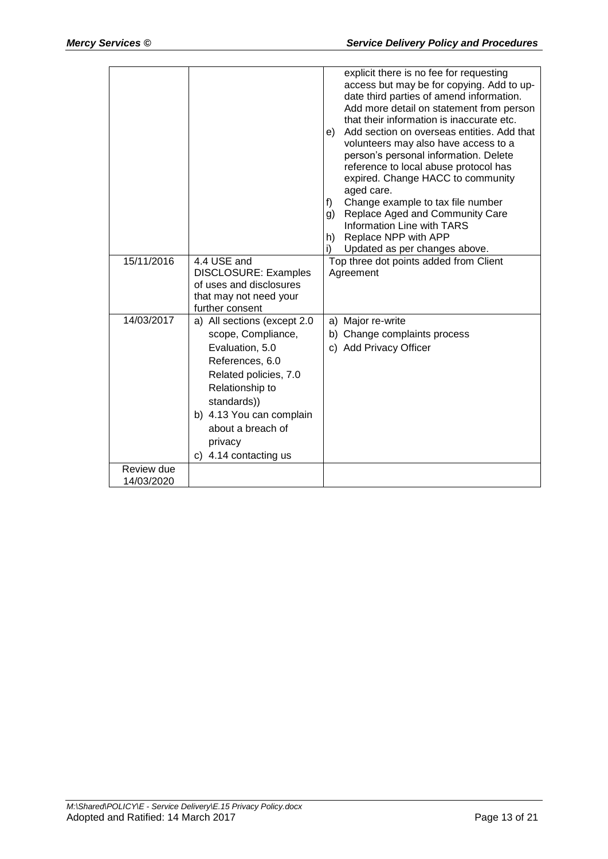|                          |                                                                                                                                                                                                                                         | explicit there is no fee for requesting<br>access but may be for copying. Add to up-<br>date third parties of amend information.<br>Add more detail on statement from person<br>that their information is inaccurate etc.<br>Add section on overseas entities. Add that<br>e)<br>volunteers may also have access to a<br>person's personal information. Delete<br>reference to local abuse protocol has<br>expired. Change HACC to community<br>aged care.<br>Change example to tax file number<br>f)<br>Replace Aged and Community Care<br>g)<br>Information Line with TARS<br>h) Replace NPP with APP<br>Updated as per changes above.<br>i) |
|--------------------------|-----------------------------------------------------------------------------------------------------------------------------------------------------------------------------------------------------------------------------------------|------------------------------------------------------------------------------------------------------------------------------------------------------------------------------------------------------------------------------------------------------------------------------------------------------------------------------------------------------------------------------------------------------------------------------------------------------------------------------------------------------------------------------------------------------------------------------------------------------------------------------------------------|
| 15/11/2016               | 4.4 USE and<br><b>DISCLOSURE: Examples</b><br>of uses and disclosures<br>that may not need your<br>further consent                                                                                                                      | Top three dot points added from Client<br>Agreement                                                                                                                                                                                                                                                                                                                                                                                                                                                                                                                                                                                            |
| 14/03/2017               | a) All sections (except 2.0<br>scope, Compliance,<br>Evaluation, 5.0<br>References, 6.0<br>Related policies, 7.0<br>Relationship to<br>standards))<br>b) 4.13 You can complain<br>about a breach of<br>privacy<br>c) 4.14 contacting us | a) Major re-write<br>b) Change complaints process<br>c) Add Privacy Officer                                                                                                                                                                                                                                                                                                                                                                                                                                                                                                                                                                    |
| Review due<br>14/03/2020 |                                                                                                                                                                                                                                         |                                                                                                                                                                                                                                                                                                                                                                                                                                                                                                                                                                                                                                                |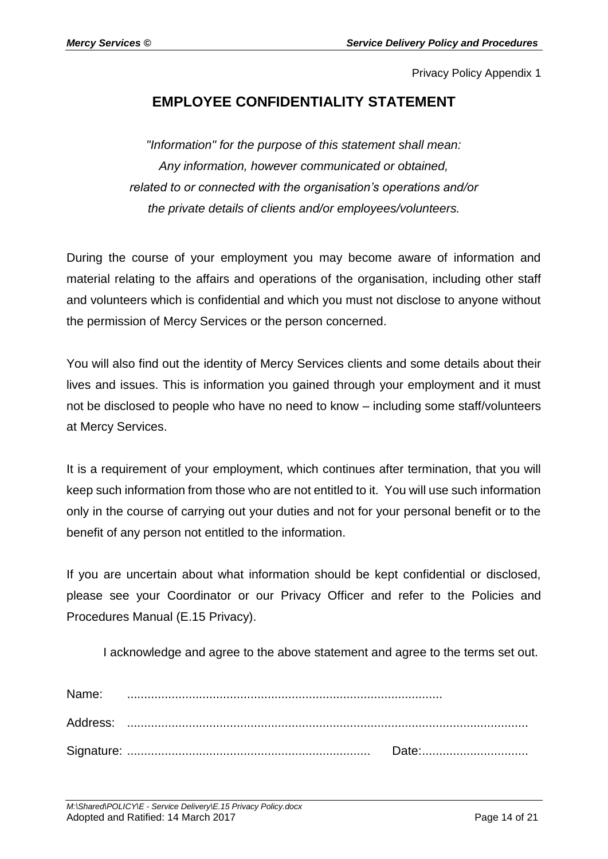## **EMPLOYEE CONFIDENTIALITY STATEMENT**

*"Information" for the purpose of this statement shall mean: Any information, however communicated or obtained, related to or connected with the organisation's operations and/or the private details of clients and/or employees/volunteers.*

During the course of your employment you may become aware of information and material relating to the affairs and operations of the organisation, including other staff and volunteers which is confidential and which you must not disclose to anyone without the permission of Mercy Services or the person concerned.

You will also find out the identity of Mercy Services clients and some details about their lives and issues. This is information you gained through your employment and it must not be disclosed to people who have no need to know – including some staff/volunteers at Mercy Services.

It is a requirement of your employment, which continues after termination, that you will keep such information from those who are not entitled to it. You will use such information only in the course of carrying out your duties and not for your personal benefit or to the benefit of any person not entitled to the information.

If you are uncertain about what information should be kept confidential or disclosed, please see your Coordinator or our Privacy Officer and refer to the Policies and Procedures Manual (E.15 Privacy).

I acknowledge and agree to the above statement and agree to the terms set out.

| Name: |  |
|-------|--|
|       |  |
|       |  |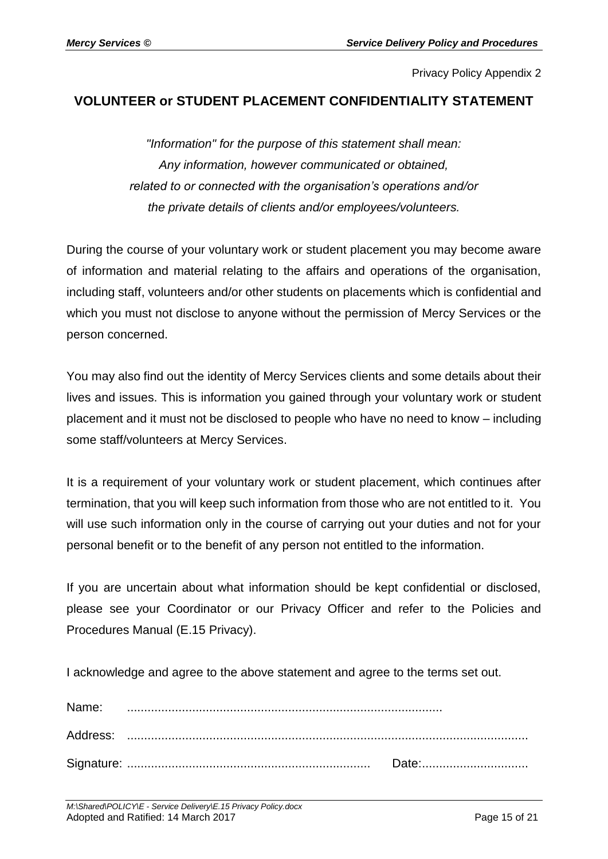## **VOLUNTEER or STUDENT PLACEMENT CONFIDENTIALITY STATEMENT**

*"Information" for the purpose of this statement shall mean: Any information, however communicated or obtained, related to or connected with the organisation's operations and/or the private details of clients and/or employees/volunteers.*

During the course of your voluntary work or student placement you may become aware of information and material relating to the affairs and operations of the organisation, including staff, volunteers and/or other students on placements which is confidential and which you must not disclose to anyone without the permission of Mercy Services or the person concerned.

You may also find out the identity of Mercy Services clients and some details about their lives and issues. This is information you gained through your voluntary work or student placement and it must not be disclosed to people who have no need to know – including some staff/volunteers at Mercy Services.

It is a requirement of your voluntary work or student placement, which continues after termination, that you will keep such information from those who are not entitled to it. You will use such information only in the course of carrying out your duties and not for your personal benefit or to the benefit of any person not entitled to the information.

If you are uncertain about what information should be kept confidential or disclosed, please see your Coordinator or our Privacy Officer and refer to the Policies and Procedures Manual (E.15 Privacy).

I acknowledge and agree to the above statement and agree to the terms set out.

| Name: |       |
|-------|-------|
|       |       |
|       | Date: |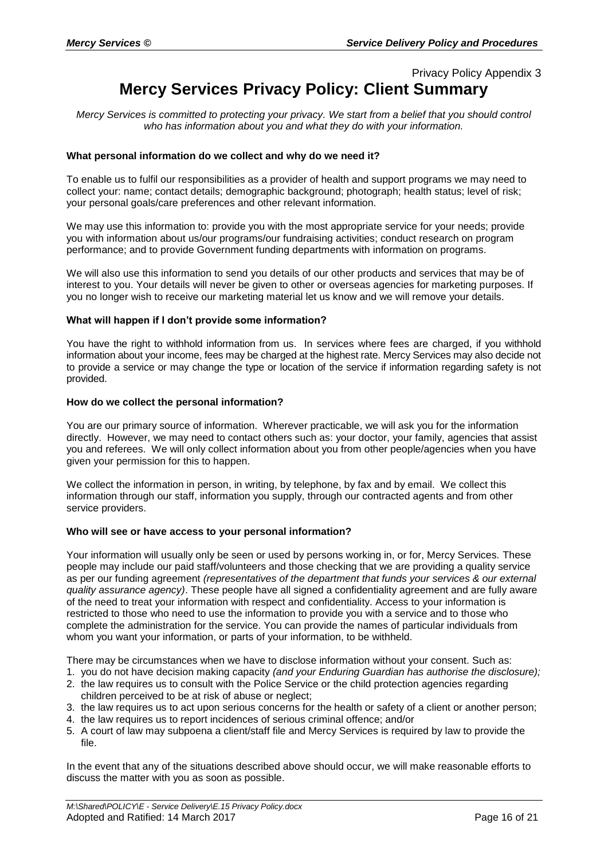## Privacy Policy Appendix 3 **Mercy Services Privacy Policy: Client Summary**

*Mercy Services is committed to protecting your privacy. We start from a belief that you should control who has information about you and what they do with your information.*

#### **What personal information do we collect and why do we need it?**

To enable us to fulfil our responsibilities as a provider of health and support programs we may need to collect your: name; contact details; demographic background; photograph; health status; level of risk; your personal goals/care preferences and other relevant information.

We may use this information to: provide you with the most appropriate service for your needs; provide you with information about us/our programs/our fundraising activities; conduct research on program performance; and to provide Government funding departments with information on programs.

We will also use this information to send you details of our other products and services that may be of interest to you. Your details will never be given to other or overseas agencies for marketing purposes. If you no longer wish to receive our marketing material let us know and we will remove your details.

#### **What will happen if I don't provide some information?**

You have the right to withhold information from us. In services where fees are charged, if you withhold information about your income, fees may be charged at the highest rate. Mercy Services may also decide not to provide a service or may change the type or location of the service if information regarding safety is not provided.

#### **How do we collect the personal information?**

You are our primary source of information. Wherever practicable, we will ask you for the information directly. However, we may need to contact others such as: your doctor, your family, agencies that assist you and referees. We will only collect information about you from other people/agencies when you have given your permission for this to happen.

We collect the information in person, in writing, by telephone, by fax and by email. We collect this information through our staff, information you supply, through our contracted agents and from other service providers.

#### **Who will see or have access to your personal information?**

Your information will usually only be seen or used by persons working in, or for, Mercy Services. These people may include our paid staff/volunteers and those checking that we are providing a quality service as per our funding agreement *(representatives of the department that funds your services & our external quality assurance agency)*. These people have all signed a confidentiality agreement and are fully aware of the need to treat your information with respect and confidentiality. Access to your information is restricted to those who need to use the information to provide you with a service and to those who complete the administration for the service. You can provide the names of particular individuals from whom you want your information, or parts of your information, to be withheld.

There may be circumstances when we have to disclose information without your consent. Such as:

- 1. you do not have decision making capacity *(and your Enduring Guardian has authorise the disclosure);*
- 2. the law requires us to consult with the Police Service or the child protection agencies regarding children perceived to be at risk of abuse or neglect;
- 3. the law requires us to act upon serious concerns for the health or safety of a client or another person;
- 4. the law requires us to report incidences of serious criminal offence; and/or
- 5. A court of law may subpoena a client/staff file and Mercy Services is required by law to provide the file.

In the event that any of the situations described above should occur, we will make reasonable efforts to discuss the matter with you as soon as possible.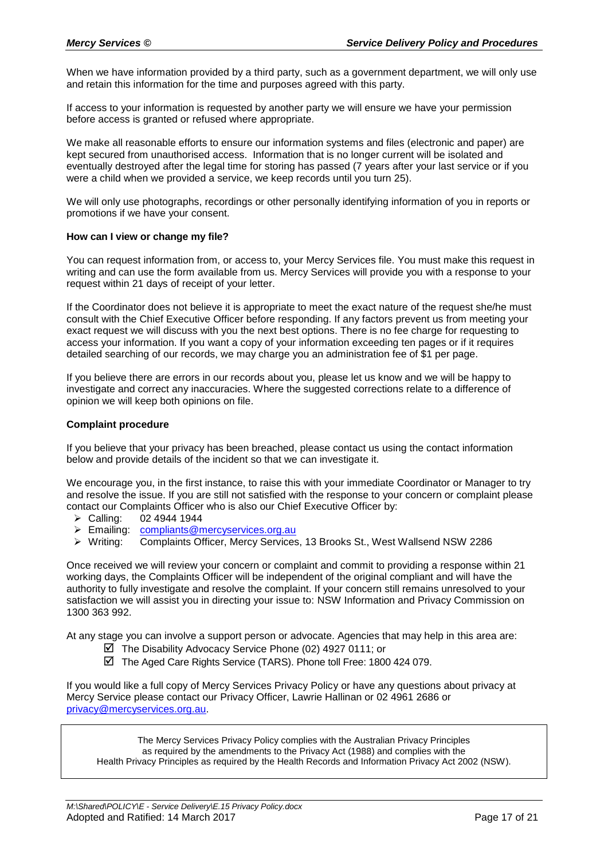When we have information provided by a third party, such as a government department, we will only use and retain this information for the time and purposes agreed with this party.

If access to your information is requested by another party we will ensure we have your permission before access is granted or refused where appropriate.

We make all reasonable efforts to ensure our information systems and files (electronic and paper) are kept secured from unauthorised access. Information that is no longer current will be isolated and eventually destroyed after the legal time for storing has passed (7 years after your last service or if you were a child when we provided a service, we keep records until you turn 25).

We will only use photographs, recordings or other personally identifying information of you in reports or promotions if we have your consent.

#### **How can I view or change my file?**

You can request information from, or access to, your Mercy Services file. You must make this request in writing and can use the form available from us. Mercy Services will provide you with a response to your request within 21 days of receipt of your letter.

If the Coordinator does not believe it is appropriate to meet the exact nature of the request she/he must consult with the Chief Executive Officer before responding. If any factors prevent us from meeting your exact request we will discuss with you the next best options. There is no fee charge for requesting to access your information. If you want a copy of your information exceeding ten pages or if it requires detailed searching of our records, we may charge you an administration fee of \$1 per page.

If you believe there are errors in our records about you, please let us know and we will be happy to investigate and correct any inaccuracies. Where the suggested corrections relate to a difference of opinion we will keep both opinions on file.

#### **Complaint procedure**

If you believe that your privacy has been breached, please contact us using the contact information below and provide details of the incident so that we can investigate it.

We encourage you, in the first instance, to raise this with your immediate Coordinator or Manager to try and resolve the issue. If you are still not satisfied with the response to your concern or complaint please contact our Complaints Officer who is also our Chief Executive Officer by:

- Calling: 02 4944 1944
- Emailing: [compliants@mercyservices.org.au](mailto:compliants@mercyservices.org.au)<br>> Writing: Complaints Officer, Mercy Services
- Complaints Officer, Mercy Services, 13 Brooks St., West Wallsend NSW 2286

Once received we will review your concern or complaint and commit to providing a response within 21 working days, the Complaints Officer will be independent of the original compliant and will have the authority to fully investigate and resolve the complaint. If your concern still remains unresolved to your satisfaction we will assist you in directing your issue to: NSW Information and Privacy Commission on 1300 363 992.

At any stage you can involve a support person or advocate. Agencies that may help in this area are:

- The Disability Advocacy Service Phone (02) 4927 0111; or
- The Aged Care Rights Service (TARS). Phone toll Free: 1800 424 079.

If you would like a full copy of Mercy Services Privacy Policy or have any questions about privacy at Mercy Service please contact our Privacy Officer, Lawrie Hallinan or 02 4961 2686 or [privacy@mercyservices.org.au.](mailto:privacy@mercyservices.org.au)

The Mercy Services Privacy Policy complies with the Australian Privacy Principles as required by the amendments to the Privacy Act (1988) and complies with the Health Privacy Principles as required by the Health Records and Information Privacy Act 2002 (NSW).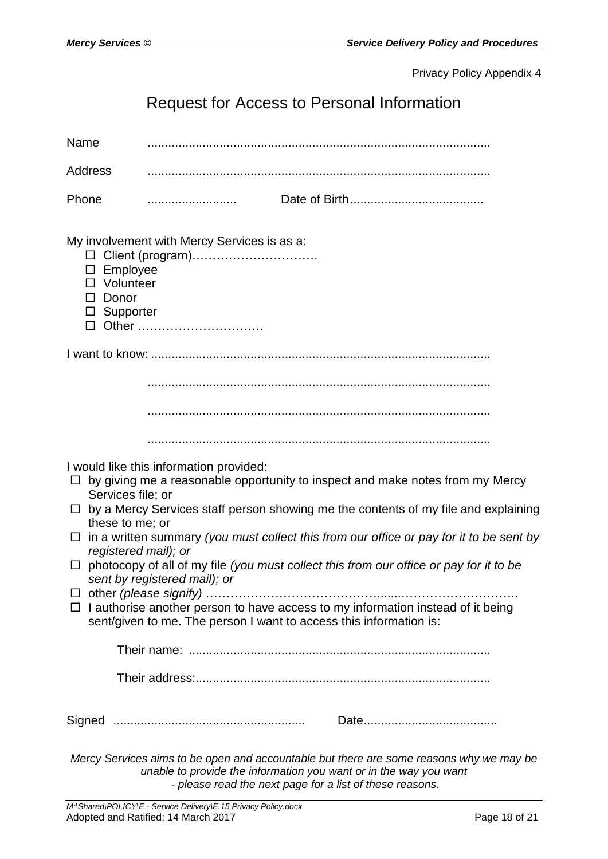# Request for Access to Personal Information

| Name                       |                                                                                                                                                                                                                                                                                                                                                                                                                                                                                                                                                                                                                                                                            |
|----------------------------|----------------------------------------------------------------------------------------------------------------------------------------------------------------------------------------------------------------------------------------------------------------------------------------------------------------------------------------------------------------------------------------------------------------------------------------------------------------------------------------------------------------------------------------------------------------------------------------------------------------------------------------------------------------------------|
| <b>Address</b>             |                                                                                                                                                                                                                                                                                                                                                                                                                                                                                                                                                                                                                                                                            |
| Phone                      |                                                                                                                                                                                                                                                                                                                                                                                                                                                                                                                                                                                                                                                                            |
| Donor<br>ப                 | My involvement with Mercy Services is as a:<br>Employee<br>Volunteer<br>Supporter<br>Other                                                                                                                                                                                                                                                                                                                                                                                                                                                                                                                                                                                 |
|                            |                                                                                                                                                                                                                                                                                                                                                                                                                                                                                                                                                                                                                                                                            |
|                            |                                                                                                                                                                                                                                                                                                                                                                                                                                                                                                                                                                                                                                                                            |
|                            |                                                                                                                                                                                                                                                                                                                                                                                                                                                                                                                                                                                                                                                                            |
|                            |                                                                                                                                                                                                                                                                                                                                                                                                                                                                                                                                                                                                                                                                            |
| $\Box$<br>$\Box$<br>$\Box$ | I would like this information provided:<br>by giving me a reasonable opportunity to inspect and make notes from my Mercy<br>Services file; or<br>by a Mercy Services staff person showing me the contents of my file and explaining<br>these to me; or<br>$\Box$ in a written summary (you must collect this from our office or pay for it to be sent by<br>registered mail); or<br>photocopy of all of my file (you must collect this from our office or pay for it to be<br>sent by registered mail); or<br>$\Box$ I authorise another person to have access to my information instead of it being<br>sent/given to me. The person I want to access this information is: |
|                            |                                                                                                                                                                                                                                                                                                                                                                                                                                                                                                                                                                                                                                                                            |
|                            |                                                                                                                                                                                                                                                                                                                                                                                                                                                                                                                                                                                                                                                                            |
|                            |                                                                                                                                                                                                                                                                                                                                                                                                                                                                                                                                                                                                                                                                            |
|                            | Mercy Services aims to be open and accountable but there are some reasons why we may be<br>unable to provide the information you want or in the way you want                                                                                                                                                                                                                                                                                                                                                                                                                                                                                                               |

*- please read the next page for a list of these reasons.*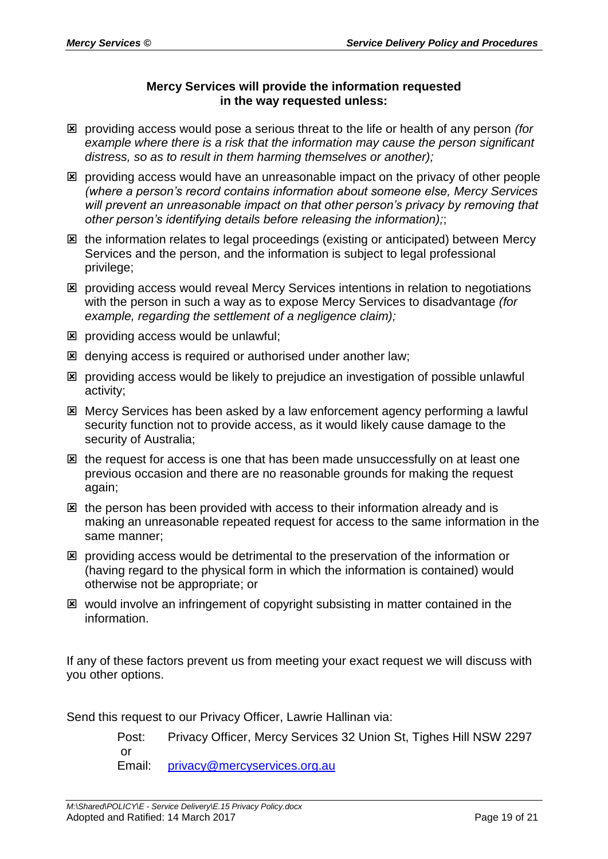#### **Mercy Services will provide the information requested in the way requested unless:**

- providing access would pose a serious threat to the life or health of any person *(for example where there is a risk that the information may cause the person significant distress, so as to result in them harming themselves or another);*
- providing access would have an unreasonable impact on the privacy of other people *(where a person's record contains information about someone else, Mercy Services will prevent an unreasonable impact on that other person's privacy by removing that other person's identifying details before releasing the information);*;
- **E** the information relates to legal proceedings (existing or anticipated) between Mercy Services and the person, and the information is subject to legal professional privilege;
- providing access would reveal Mercy Services intentions in relation to negotiations with the person in such a way as to expose Mercy Services to disadvantage *(for example, regarding the settlement of a negligence claim);*
- $\boxtimes$  providing access would be unlawful;
- denying access is required or authorised under another law;
- providing access would be likely to prejudice an investigation of possible unlawful activity;
- **图 Mercy Services has been asked by a law enforcement agency performing a lawful** security function not to provide access, as it would likely cause damage to the security of Australia;
- $\boxtimes$  the request for access is one that has been made unsuccessfully on at least one previous occasion and there are no reasonable grounds for making the request again;
- $\boxtimes$  the person has been provided with access to their information already and is making an unreasonable repeated request for access to the same information in the same manner;
- **E** providing access would be detrimental to the preservation of the information or (having regard to the physical form in which the information is contained) would otherwise not be appropriate; or
- would involve an infringement of copyright subsisting in matter contained in the information.

If any of these factors prevent us from meeting your exact request we will discuss with you other options.

Send this request to our Privacy Officer, Lawrie Hallinan via:

Post: Privacy Officer, Mercy Services 32 Union St, Tighes Hill NSW 2297 or Email: [privacy@mercyservices.org.au](mailto:privacy@mercyservices.org.au)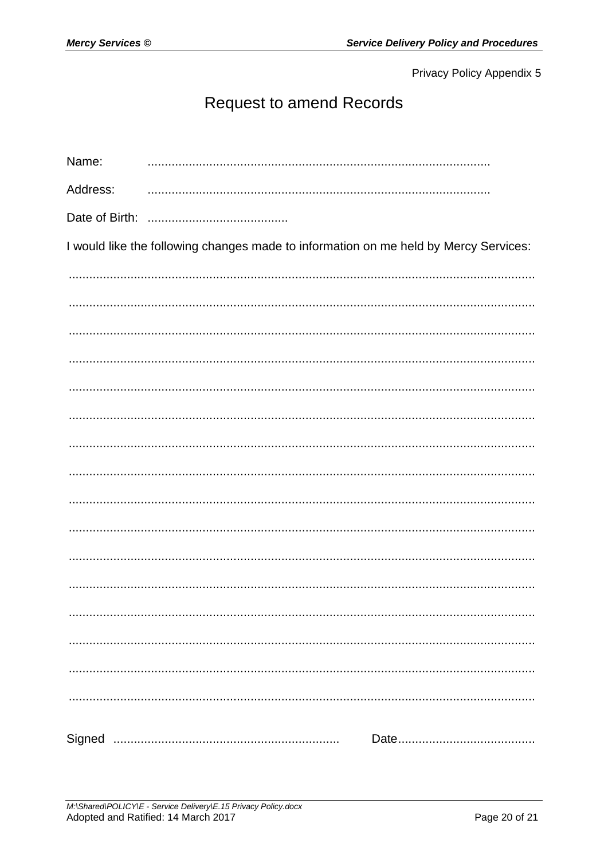# **Request to amend Records**

| Name:    |                                                                                      |
|----------|--------------------------------------------------------------------------------------|
| Address: |                                                                                      |
|          |                                                                                      |
|          | I would like the following changes made to information on me held by Mercy Services: |
|          |                                                                                      |
|          |                                                                                      |
|          |                                                                                      |
|          |                                                                                      |
|          |                                                                                      |
|          |                                                                                      |
|          |                                                                                      |
|          |                                                                                      |
|          |                                                                                      |
|          |                                                                                      |
|          |                                                                                      |
|          |                                                                                      |
|          |                                                                                      |
|          |                                                                                      |
|          |                                                                                      |
|          |                                                                                      |
|          |                                                                                      |